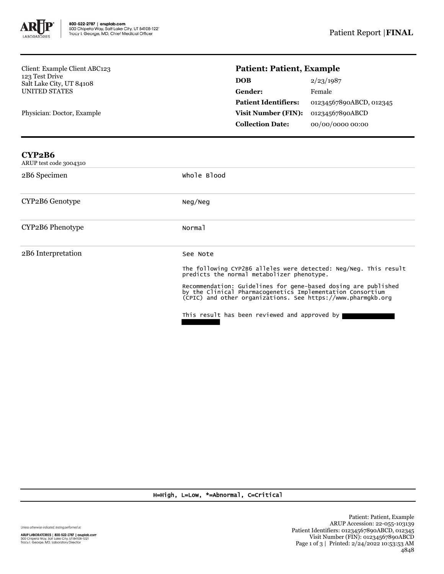

Client: Example Client ABC123 123 Test Drive Salt Lake City, UT 84108 UNITED STATES

Physician: Doctor, Example

## **Patient: Patient, Example**

| <b>DOB</b>                  | 2/23/1987               |
|-----------------------------|-------------------------|
| Gender:                     | Female                  |
| <b>Patient Identifiers:</b> | 01234567890ABCD, 012345 |
| <b>Visit Number (FIN):</b>  | 01234567890ABCD         |
| <b>Collection Date:</b>     | 00/00/0000 00:00        |

| CYP2B6<br>ARUP test code 3004310 |                                                                                                                                                                                                                                                                                                                                                                             |
|----------------------------------|-----------------------------------------------------------------------------------------------------------------------------------------------------------------------------------------------------------------------------------------------------------------------------------------------------------------------------------------------------------------------------|
| 2B6 Specimen                     | whole Blood                                                                                                                                                                                                                                                                                                                                                                 |
| CYP2B6 Genotype                  | Neg/Neg                                                                                                                                                                                                                                                                                                                                                                     |
| CYP2B6 Phenotype                 | Normal                                                                                                                                                                                                                                                                                                                                                                      |
| 2B6 Interpretation               | See Note<br>The following CYP2B6 alleles were detected: Neg/Neg. This result<br>predicts the normal metabolizer phenotype.<br>Recommendation: Guidelines for gene-based dosing are published<br>by the Clinical Pharmacogenetics Implementation Consortium<br>(CPIC) and other organizations. See https://www.pharmgkb.org<br>This result has been reviewed and approved by |

H=High, L=Low, \*=Abnormal, C=Critical

Unless otherwise indicated, testing performed at: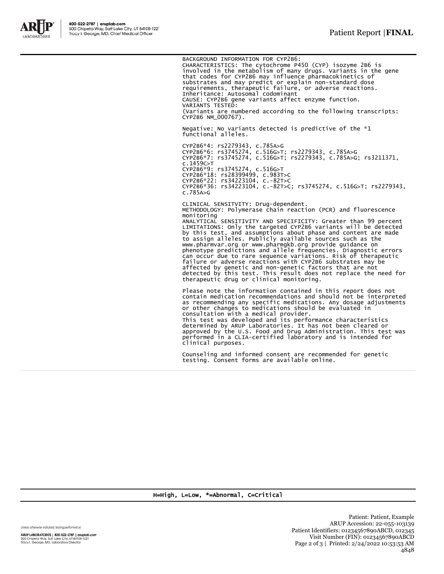

BACKGROUND INFORMATION FOR CYP2B6:

CHARACTERISTICS: The cytochrome P450 (CYP) isozyme 2B6 is involved in the metabolism of many drugs. Variants in the gene that codes for CYP2B6 may influence pharmacokinetics of substrates and may predict or explain non-standard dose requirements, therapeutic failure, or adverse reactions. Inheritance: Autosomal codominant CAUSE: CYP2B6 gene variants affect enzyme function. VARIANTS TESTED: (Variants are numbered according to the following transcripts: CYP2B6 NM\_000767).

Negative: No variants detected is predictive of the \*1 functional alleles.

CYP2B6\*4: rs2279343, c.785A>G CYP2B6\*6: rs3745274, c.516G>T; rs2279343, c.785A>G CYP2B6\*7: rs3745274, c.516G>T; rs2279343, c.785A>G; rs3211371, c.1459C>T CYP2B6\*9: rs3745274, c.516G>T CYP2B6\*18: rs28399499, c.983T>C CYP2B6\*22: rs34223104, c.-82T>C CYP2B6\*36: rs34223104, c.-82T>C; rs3745274, c.516G>T; rs2279343, c.785A>G

CLINICAL SENSITVITY: Drug-dependent. METHODOLOGY: Polymerase chain reaction (PCR) and fluorescence monitoring ANALYTICAL SENSITIVITY AND SPECIFICITY: Greater than 99 percent LIMITATIONS: Only the targeted CYP2B6 variants will be detected by this test, and assumptions about phase and content are made to assign alleles. Publicly available sources such as the www.pharmvar.org or www.pharmgkb.org provide guidance on phenotype predictions and allele frequencies. Diagnostic errors can occur due to rare sequence variations. Risk of therapeutic<br>failure or adverse reactions with CYP2B6 substrates may be<br>affected by genetic and non-genetic factors that are not<br>detected by this test. This result does not therapeutic drug or clinical monitoring.

Please note the information contained in this report does not contain medication recommendations and should not be interpreted as recommending any specific medications. Any dosage adjustments or other changes to medications should be evaluated in consultation with a medical provider. This test was developed and its performance characteristics determined by ARUP Laboratories. It has not been cleared or approved by the U.S. Food and Drug Administration. This test was performed in a CLIA-certified laboratory and is intended for

Counseling and informed consent are recommended for genetic testing. Consent forms are available online.

H=High, L=Low, \*=Abnormal, C=Critical

clinical purposes.

Unless otherwise indicated, testing performed at:

ARUP LABORATORIES | 800-522-2787 | aruplab.com 500 Chipeta Way, Salt Lake City, UT 84108-1221<br>Tracy I. George, MD, Laboratory Director

Patient: Patient, Example ARUP Accession: 22-055-103139 Patient Identifiers: 01234567890ABCD, 012345 Visit Number (FIN): 01234567890ABCD Page 2 of 3 | Printed: 2/24/2022 10:53:53 AM 4848